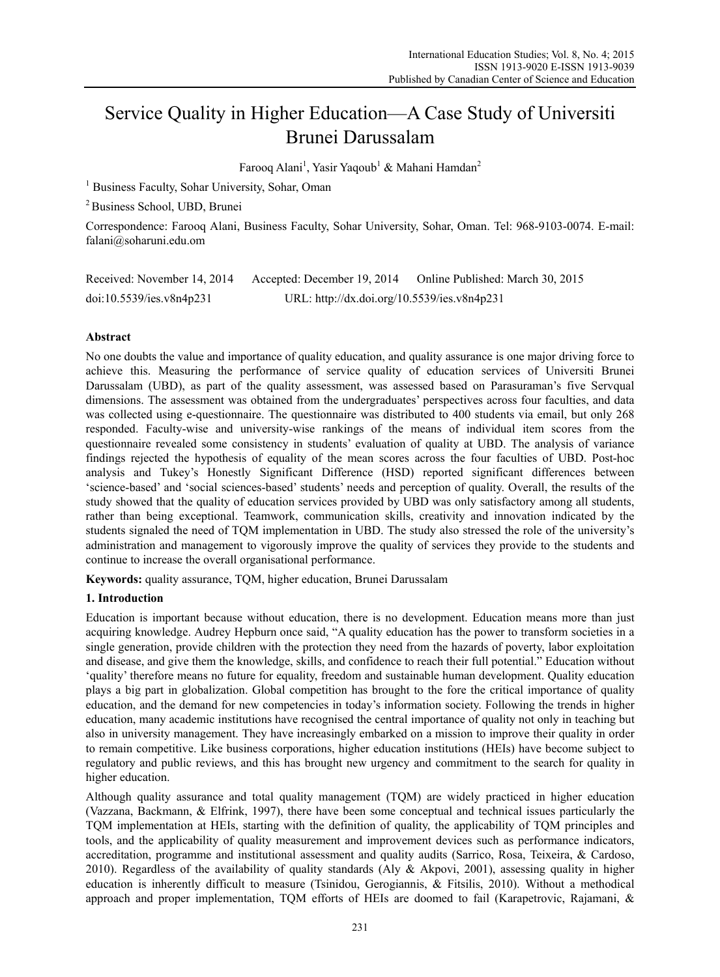# Service Quality in Higher Education—A Case Study of Universiti Brunei Darussalam

Farooq Alani<sup>1</sup>, Yasir Yaqoub<sup>1</sup> & Mahani Hamdan<sup>2</sup>

<sup>1</sup> Business Faculty, Sohar University, Sohar, Oman

2 Business School, UBD, Brunei

Correspondence: Farooq Alani, Business Faculty, Sohar University, Sohar, Oman. Tel: 968-9103-0074. E-mail: falani@soharuni.edu.om

| Received: November 14, 2014 | Accepted: December 19, 2014                 | Online Published: March 30, 2015 |
|-----------------------------|---------------------------------------------|----------------------------------|
| doi:10.5539/ies.v8n4p231    | URL: http://dx.doi.org/10.5539/ies.v8n4p231 |                                  |

# **Abstract**

No one doubts the value and importance of quality education, and quality assurance is one major driving force to achieve this. Measuring the performance of service quality of education services of Universiti Brunei Darussalam (UBD), as part of the quality assessment, was assessed based on Parasuraman's five Servqual dimensions. The assessment was obtained from the undergraduates' perspectives across four faculties, and data was collected using e-questionnaire. The questionnaire was distributed to 400 students via email, but only 268 responded. Faculty-wise and university-wise rankings of the means of individual item scores from the questionnaire revealed some consistency in students' evaluation of quality at UBD. The analysis of variance findings rejected the hypothesis of equality of the mean scores across the four faculties of UBD. Post-hoc analysis and Tukey's Honestly Significant Difference (HSD) reported significant differences between 'science-based' and 'social sciences-based' students' needs and perception of quality. Overall, the results of the study showed that the quality of education services provided by UBD was only satisfactory among all students, rather than being exceptional. Teamwork, communication skills, creativity and innovation indicated by the students signaled the need of TQM implementation in UBD. The study also stressed the role of the university's administration and management to vigorously improve the quality of services they provide to the students and continue to increase the overall organisational performance.

**Keywords:** quality assurance, TQM, higher education, Brunei Darussalam

# **1. Introduction**

Education is important because without education, there is no development. Education means more than just acquiring knowledge. Audrey Hepburn once said, "A quality education has the power to transform societies in a single generation, provide children with the protection they need from the hazards of poverty, labor exploitation and disease, and give them the knowledge, skills, and confidence to reach their full potential." Education without 'quality' therefore means no future for equality, freedom and sustainable human development. Quality education plays a big part in globalization. Global competition has brought to the fore the critical importance of quality education, and the demand for new competencies in today's information society. Following the trends in higher education, many academic institutions have recognised the central importance of quality not only in teaching but also in university management. They have increasingly embarked on a mission to improve their quality in order to remain competitive. Like business corporations, higher education institutions (HEIs) have become subject to regulatory and public reviews, and this has brought new urgency and commitment to the search for quality in higher education.

Although quality assurance and total quality management (TQM) are widely practiced in higher education (Vazzana, Backmann, & Elfrink, 1997), there have been some conceptual and technical issues particularly the TQM implementation at HEIs, starting with the definition of quality, the applicability of TQM principles and tools, and the applicability of quality measurement and improvement devices such as performance indicators, accreditation, programme and institutional assessment and quality audits (Sarrico, Rosa, Teixeira, & Cardoso, 2010). Regardless of the availability of quality standards (Aly & Akpovi, 2001), assessing quality in higher education is inherently difficult to measure (Tsinidou, Gerogiannis, & Fitsilis, 2010). Without a methodical approach and proper implementation, TQM efforts of HEIs are doomed to fail (Karapetrovic, Rajamani, &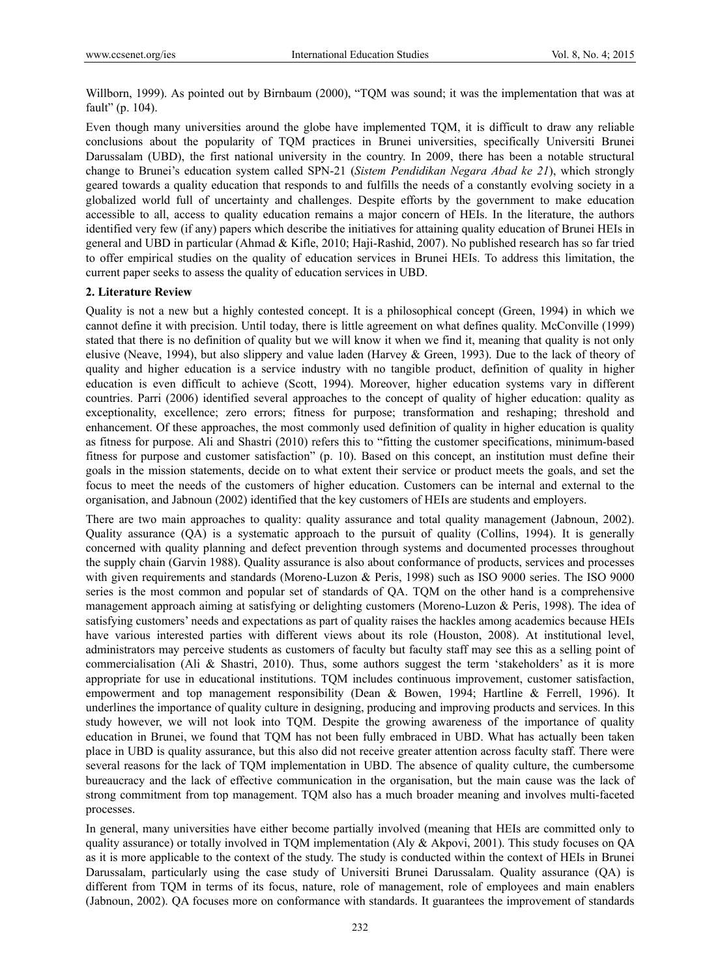Willborn, 1999). As pointed out by Birnbaum (2000), "TQM was sound; it was the implementation that was at fault" (p. 104).

Even though many universities around the globe have implemented TQM, it is difficult to draw any reliable conclusions about the popularity of TQM practices in Brunei universities, specifically Universiti Brunei Darussalam (UBD), the first national university in the country. In 2009, there has been a notable structural change to Brunei's education system called SPN-21 (*Sistem Pendidikan Negara Abad ke 21*), which strongly geared towards a quality education that responds to and fulfills the needs of a constantly evolving society in a globalized world full of uncertainty and challenges. Despite efforts by the government to make education accessible to all, access to quality education remains a major concern of HEIs. In the literature, the authors identified very few (if any) papers which describe the initiatives for attaining quality education of Brunei HEIs in general and UBD in particular (Ahmad & Kifle, 2010; Haji-Rashid, 2007). No published research has so far tried to offer empirical studies on the quality of education services in Brunei HEIs. To address this limitation, the current paper seeks to assess the quality of education services in UBD.

#### **2. Literature Review**

Quality is not a new but a highly contested concept. It is a philosophical concept (Green, 1994) in which we cannot define it with precision. Until today, there is little agreement on what defines quality. McConville (1999) stated that there is no definition of quality but we will know it when we find it, meaning that quality is not only elusive (Neave, 1994), but also slippery and value laden (Harvey & Green, 1993). Due to the lack of theory of quality and higher education is a service industry with no tangible product, definition of quality in higher education is even difficult to achieve (Scott, 1994). Moreover, higher education systems vary in different countries. Parri (2006) identified several approaches to the concept of quality of higher education: quality as exceptionality, excellence; zero errors; fitness for purpose; transformation and reshaping; threshold and enhancement. Of these approaches, the most commonly used definition of quality in higher education is quality as fitness for purpose. Ali and Shastri (2010) refers this to "fitting the customer specifications, minimum-based fitness for purpose and customer satisfaction" (p. 10). Based on this concept, an institution must define their goals in the mission statements, decide on to what extent their service or product meets the goals, and set the focus to meet the needs of the customers of higher education. Customers can be internal and external to the organisation, and Jabnoun (2002) identified that the key customers of HEIs are students and employers.

There are two main approaches to quality: quality assurance and total quality management (Jabnoun, 2002). Quality assurance (QA) is a systematic approach to the pursuit of quality (Collins, 1994). It is generally concerned with quality planning and defect prevention through systems and documented processes throughout the supply chain (Garvin 1988). Quality assurance is also about conformance of products, services and processes with given requirements and standards (Moreno-Luzon & Peris, 1998) such as ISO 9000 series. The ISO 9000 series is the most common and popular set of standards of QA. TQM on the other hand is a comprehensive management approach aiming at satisfying or delighting customers (Moreno-Luzon & Peris, 1998). The idea of satisfying customers' needs and expectations as part of quality raises the hackles among academics because HEIs have various interested parties with different views about its role (Houston, 2008). At institutional level, administrators may perceive students as customers of faculty but faculty staff may see this as a selling point of commercialisation (Ali & Shastri, 2010). Thus, some authors suggest the term 'stakeholders' as it is more appropriate for use in educational institutions. TQM includes continuous improvement, customer satisfaction, empowerment and top management responsibility (Dean & Bowen, 1994; Hartline & Ferrell, 1996). It underlines the importance of quality culture in designing, producing and improving products and services. In this study however, we will not look into TQM. Despite the growing awareness of the importance of quality education in Brunei, we found that TQM has not been fully embraced in UBD. What has actually been taken place in UBD is quality assurance, but this also did not receive greater attention across faculty staff. There were several reasons for the lack of TQM implementation in UBD. The absence of quality culture, the cumbersome bureaucracy and the lack of effective communication in the organisation, but the main cause was the lack of strong commitment from top management. TQM also has a much broader meaning and involves multi-faceted processes.

In general, many universities have either become partially involved (meaning that HEIs are committed only to quality assurance) or totally involved in TQM implementation (Aly & Akpovi, 2001). This study focuses on QA as it is more applicable to the context of the study. The study is conducted within the context of HEIs in Brunei Darussalam, particularly using the case study of Universiti Brunei Darussalam. Quality assurance (QA) is different from TQM in terms of its focus, nature, role of management, role of employees and main enablers (Jabnoun, 2002). QA focuses more on conformance with standards. It guarantees the improvement of standards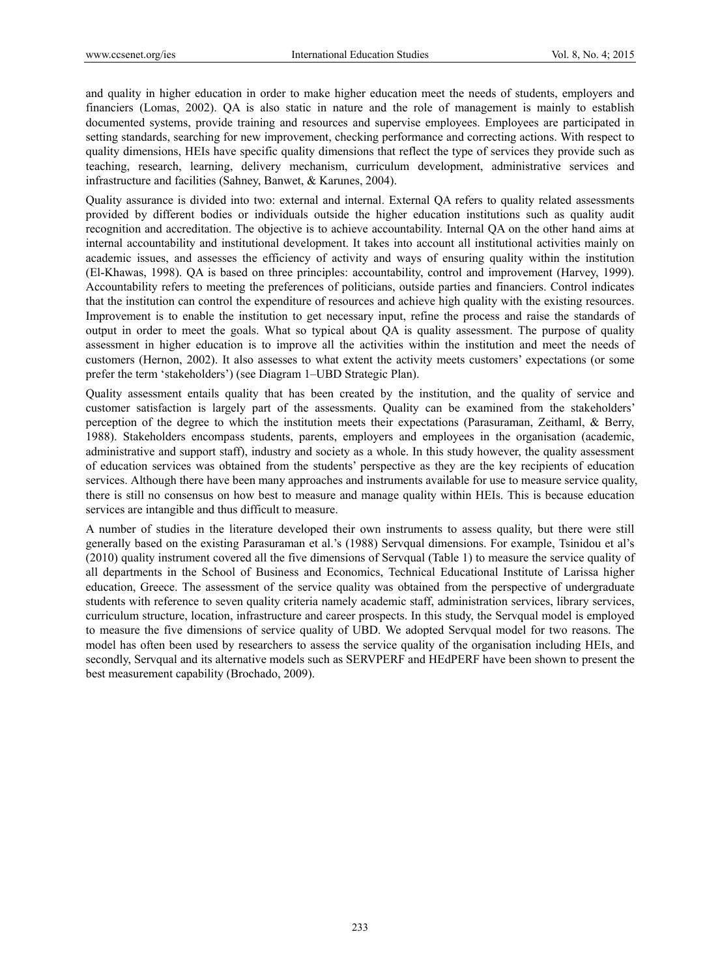and quality in higher education in order to make higher education meet the needs of students, employers and financiers (Lomas, 2002). QA is also static in nature and the role of management is mainly to establish documented systems, provide training and resources and supervise employees. Employees are participated in setting standards, searching for new improvement, checking performance and correcting actions. With respect to quality dimensions, HEIs have specific quality dimensions that reflect the type of services they provide such as teaching, research, learning, delivery mechanism, curriculum development, administrative services and infrastructure and facilities (Sahney, Banwet, & Karunes, 2004).

Quality assurance is divided into two: external and internal. External QA refers to quality related assessments provided by different bodies or individuals outside the higher education institutions such as quality audit recognition and accreditation. The objective is to achieve accountability. Internal QA on the other hand aims at internal accountability and institutional development. It takes into account all institutional activities mainly on academic issues, and assesses the efficiency of activity and ways of ensuring quality within the institution (El-Khawas, 1998). QA is based on three principles: accountability, control and improvement (Harvey, 1999). Accountability refers to meeting the preferences of politicians, outside parties and financiers. Control indicates that the institution can control the expenditure of resources and achieve high quality with the existing resources. Improvement is to enable the institution to get necessary input, refine the process and raise the standards of output in order to meet the goals. What so typical about QA is quality assessment. The purpose of quality assessment in higher education is to improve all the activities within the institution and meet the needs of customers (Hernon, 2002). It also assesses to what extent the activity meets customers' expectations (or some prefer the term 'stakeholders') (see Diagram 1–UBD Strategic Plan).

Quality assessment entails quality that has been created by the institution, and the quality of service and customer satisfaction is largely part of the assessments. Quality can be examined from the stakeholders' perception of the degree to which the institution meets their expectations (Parasuraman, Zeithaml, & Berry, 1988). Stakeholders encompass students, parents, employers and employees in the organisation (academic, administrative and support staff), industry and society as a whole. In this study however, the quality assessment of education services was obtained from the students' perspective as they are the key recipients of education services. Although there have been many approaches and instruments available for use to measure service quality, there is still no consensus on how best to measure and manage quality within HEIs. This is because education services are intangible and thus difficult to measure.

A number of studies in the literature developed their own instruments to assess quality, but there were still generally based on the existing Parasuraman et al.'s (1988) Servqual dimensions. For example, Tsinidou et al's (2010) quality instrument covered all the five dimensions of Servqual (Table 1) to measure the service quality of all departments in the School of Business and Economics, Technical Educational Institute of Larissa higher education, Greece. The assessment of the service quality was obtained from the perspective of undergraduate students with reference to seven quality criteria namely academic staff, administration services, library services, curriculum structure, location, infrastructure and career prospects. In this study, the Servqual model is employed to measure the five dimensions of service quality of UBD. We adopted Servqual model for two reasons. The model has often been used by researchers to assess the service quality of the organisation including HEIs, and secondly, Servqual and its alternative models such as SERVPERF and HEdPERF have been shown to present the best measurement capability (Brochado, 2009).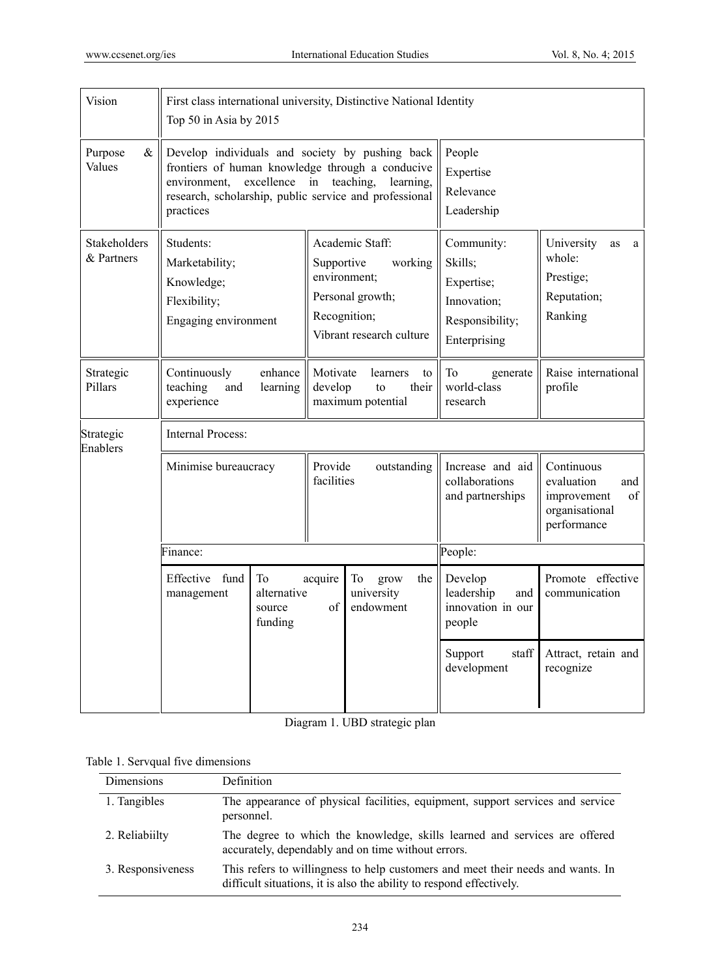| Vision                     | First class international university, Distinctive National Identity<br>Top 50 in Asia by 2015                                                                          |                                                                                                                                                                                                       |                                                                                                                              |                                                    |                                                                             |                                                                                       |  |
|----------------------------|------------------------------------------------------------------------------------------------------------------------------------------------------------------------|-------------------------------------------------------------------------------------------------------------------------------------------------------------------------------------------------------|------------------------------------------------------------------------------------------------------------------------------|----------------------------------------------------|-----------------------------------------------------------------------------|---------------------------------------------------------------------------------------|--|
| &<br>Purpose<br>Values     | environment,<br>practices                                                                                                                                              | Develop individuals and society by pushing back<br>frontiers of human knowledge through a conducive<br>excellence in teaching,<br>learning,<br>research, scholarship, public service and professional |                                                                                                                              |                                                    | People<br>Expertise<br>Relevance<br>Leadership                              |                                                                                       |  |
| Stakeholders<br>& Partners | Students:<br>Academic Staff:<br>Marketability;<br>Supportive<br>environment;<br>Knowledge;<br>Personal growth;<br>Flexibility;<br>Recognition;<br>Engaging environment |                                                                                                                                                                                                       | Community:<br>Skills;<br>working<br>Expertise;<br>Innovation;<br>Responsibility;<br>Vibrant research culture<br>Enterprising |                                                    | University<br>as<br>a<br>whole:<br>Prestige;<br>Reputation;<br>Ranking      |                                                                                       |  |
| Strategic<br>Pillars       | Continuously<br>teaching<br>and<br>experience                                                                                                                          | enhance<br>learning                                                                                                                                                                                   | Motivate<br>develop                                                                                                          | learners<br>to<br>their<br>to<br>maximum potential | To<br>Raise international<br>generate<br>world-class<br>profile<br>research |                                                                                       |  |
| Strategic<br>Enablers      | Internal Process:                                                                                                                                                      |                                                                                                                                                                                                       |                                                                                                                              |                                                    |                                                                             |                                                                                       |  |
|                            | Minimise bureaucracy                                                                                                                                                   |                                                                                                                                                                                                       | Provide<br>outstanding<br>facilities                                                                                         |                                                    | Increase and aid<br>collaborations<br>and partnerships                      | Continuous<br>evaluation<br>and<br>of<br>improvement<br>organisational<br>performance |  |
|                            | Finance:                                                                                                                                                               |                                                                                                                                                                                                       |                                                                                                                              |                                                    | People:                                                                     |                                                                                       |  |
|                            | Effective fund<br>T <sub>o</sub><br>alternative<br>management<br>source<br>funding                                                                                     |                                                                                                                                                                                                       | the<br>acquire<br>To<br>grow<br>university<br>of<br>endowment                                                                |                                                    | Develop<br>leadership<br>and<br>innovation in our<br>people                 | Promote effective<br>communication                                                    |  |
|                            |                                                                                                                                                                        |                                                                                                                                                                                                       |                                                                                                                              |                                                    | Support<br>staff<br>development                                             | Attract, retain and<br>recognize                                                      |  |

Diagram 1. UBD strategic plan

# Table 1. Servqual five dimensions

| Dimensions        | Definition                                                                                                                                              |
|-------------------|---------------------------------------------------------------------------------------------------------------------------------------------------------|
| 1. Tangibles      | The appearance of physical facilities, equipment, support services and service<br>personnel.                                                            |
| 2. Reliabiilty    | The degree to which the knowledge, skills learned and services are offered<br>accurately, dependably and on time without errors.                        |
| 3. Responsiveness | This refers to willingness to help customers and meet their needs and wants. In<br>difficult situations, it is also the ability to respond effectively. |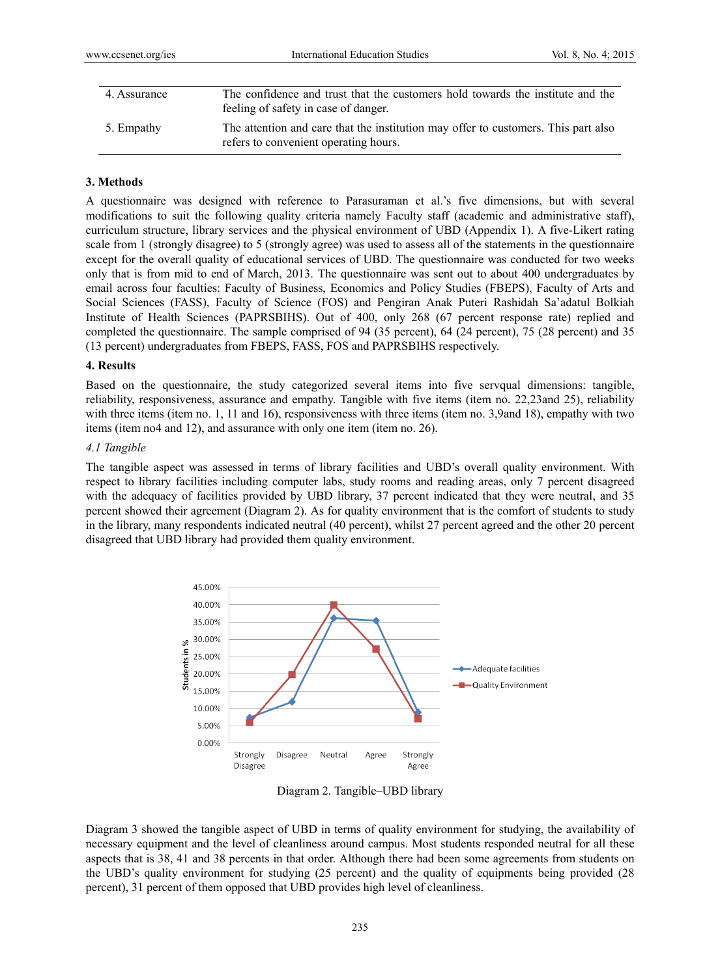| The confidence and trust that the customers hold towards the institute and the                                              |
|-----------------------------------------------------------------------------------------------------------------------------|
| feeling of safety in case of danger.                                                                                        |
| The attention and care that the institution may offer to customers. This part also<br>refers to convenient operating hours. |
|                                                                                                                             |

#### **3. Methods**

A questionnaire was designed with reference to Parasuraman et al.'s five dimensions, but with several modifications to suit the following quality criteria namely Faculty staff (academic and administrative staff), curriculum structure, library services and the physical environment of UBD (Appendix 1). A five-Likert rating scale from 1 (strongly disagree) to 5 (strongly agree) was used to assess all of the statements in the questionnaire except for the overall quality of educational services of UBD. The questionnaire was conducted for two weeks only that is from mid to end of March, 2013. The questionnaire was sent out to about 400 undergraduates by email across four faculties: Faculty of Business, Economics and Policy Studies (FBEPS), Faculty of Arts and Social Sciences (FASS), Faculty of Science (FOS) and Pengiran Anak Puteri Rashidah Sa'adatul Bolkiah Institute of Health Sciences (PAPRSBIHS). Out of 400, only 268 (67 percent response rate) replied and completed the questionnaire. The sample comprised of 94 (35 percent), 64 (24 percent), 75 (28 percent) and 35 (13 percent) undergraduates from FBEPS, FASS, FOS and PAPRSBIHS respectively.

#### **4. Results**

Based on the questionnaire, the study categorized several items into five servqual dimensions: tangible, reliability, responsiveness, assurance and empathy. Tangible with five items (item no. 22,23and 25), reliability with three items (item no. 1, 11 and 16), responsiveness with three items (item no. 3.9and 18), empathy with two items (item no4 and 12), and assurance with only one item (item no. 26).

#### *4.1 Tangible*

The tangible aspect was assessed in terms of library facilities and UBD's overall quality environment. With respect to library facilities including computer labs, study rooms and reading areas, only 7 percent disagreed with the adequacy of facilities provided by UBD library, 37 percent indicated that they were neutral, and 35 percent showed their agreement (Diagram 2). As for quality environment that is the comfort of students to study in the library, many respondents indicated neutral (40 percent), whilst 27 percent agreed and the other 20 percent disagreed that UBD library had provided them quality environment.



Diagram 2. Tangible–UBD library

Diagram 3 showed the tangible aspect of UBD in terms of quality environment for studying, the availability of necessary equipment and the level of cleanliness around campus. Most students responded neutral for all these aspects that is 38, 41 and 38 percents in that order. Although there had been some agreements from students on the UBD's quality environment for studying (25 percent) and the quality of equipments being provided (28 percent), 31 percent of them opposed that UBD provides high level of cleanliness.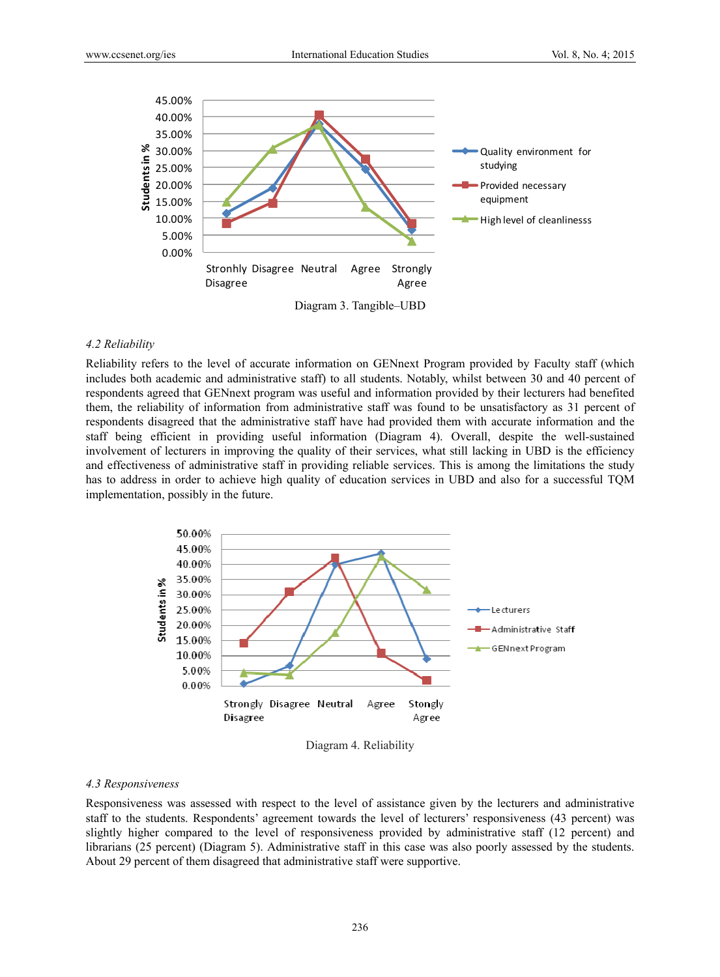

#### *4.2 Reliability*

Reliability refers to the level of accurate information on GENnext Program provided by Faculty staff (which includes both academic and administrative staff) to all students. Notably, whilst between 30 and 40 percent of respondents agreed that GENnext program was useful and information provided by their lecturers had benefited them, the reliability of information from administrative staff was found to be unsatisfactory as 31 percent of respondents disagreed that the administrative staff have had provided them with accurate information and the staff being efficient in providing useful information (Diagram 4). Overall, despite the well-sustained involvement of lecturers in improving the quality of their services, what still lacking in UBD is the efficiency and effectiveness of administrative staff in providing reliable services. This is among the limitations the study has to address in order to achieve high quality of education services in UBD and also for a successful TQM implementation, possibly in the future.



Diagram 4. Reliability

#### *4.3 Responsiveness*

Responsiveness was assessed with respect to the level of assistance given by the lecturers and administrative staff to the students. Respondents' agreement towards the level of lecturers' responsiveness (43 percent) was slightly higher compared to the level of responsiveness provided by administrative staff (12 percent) and librarians (25 percent) (Diagram 5). Administrative staff in this case was also poorly assessed by the students. About 29 percent of them disagreed that administrative staff were supportive.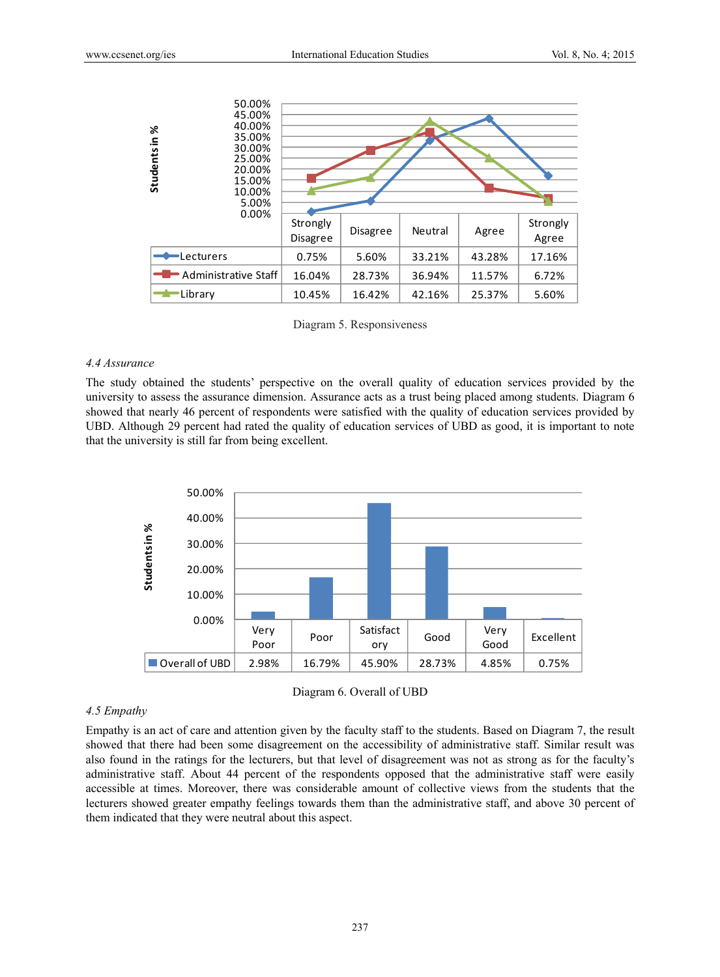

Diagram 5. Responsiveness

#### *4.4 Assurance*

The study obtained the students' perspective on the overall quality of education services provided by the university to assess the assurance dimension. Assurance acts as a trust being placed among students. Diagram 6 showed that nearly 46 percent of respondents were satisfied with the quality of education services provided by UBD. Although 29 percent had rated the quality of education services of UBD as good, it is important to note that the university is still far from being excellent.



Diagram 6. Overall of UBD

# *4.5 Empathy*

Empathy is an act of care and attention given by the faculty staff to the students. Based on Diagram 7, the result showed that there had been some disagreement on the accessibility of administrative staff. Similar result was also found in the ratings for the lecturers, but that level of disagreement was not as strong as for the faculty's administrative staff. About 44 percent of the respondents opposed that the administrative staff were easily accessible at times. Moreover, there was considerable amount of collective views from the students that the lecturers showed greater empathy feelings towards them than the administrative staff, and above 30 percent of them indicated that they were neutral about this aspect.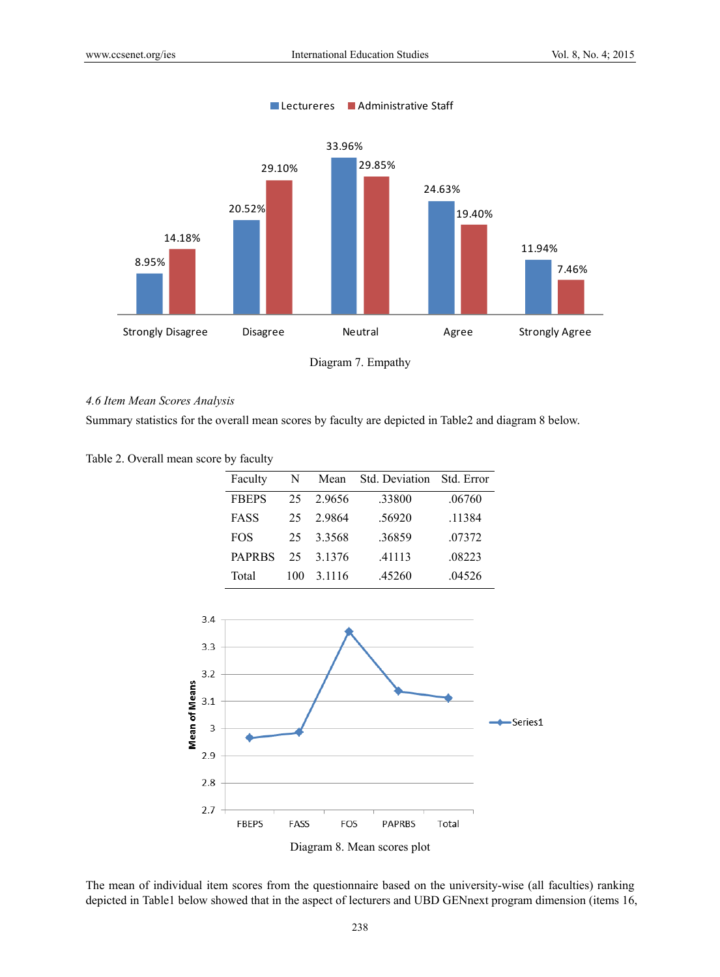

Lectureres **Administrative Staff** 

#### *4.6 Item Mean Scores Analysis*

Summary statistics for the overall mean scores by faculty are depicted in Table2 and diagram 8 below.

Table 2. Overall mean score by faculty

| Faculty       | N   | Mean      | Std. Deviation Std. Error |        |
|---------------|-----|-----------|---------------------------|--------|
| <b>FBEPS</b>  | 25  | 29656     | .33800                    | .06760 |
| <b>FASS</b>   | 25  | 29864     | .56920                    | .11384 |
| <b>FOS</b>    | 25  | 3 3 5 6 8 | .36859                    | .07372 |
| <b>PAPRBS</b> | 25  | 3 1 3 7 6 | .41113                    | .08223 |
| Total         | 100 | 3 1 1 1 6 | .45260                    | .04526 |



The mean of individual item scores from the questionnaire based on the university-wise (all faculties) ranking depicted in Table1 below showed that in the aspect of lecturers and UBD GENnext program dimension (items 16,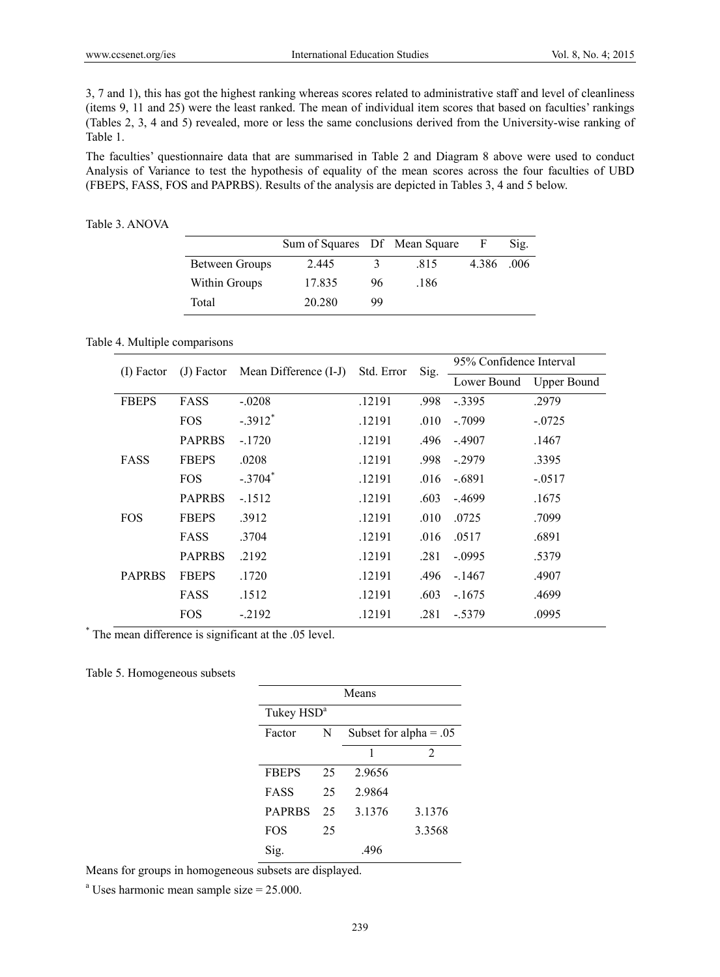3, 7 and 1), this has got the highest ranking whereas scores related to administrative staff and level of cleanliness (items 9, 11 and 25) were the least ranked. The mean of individual item scores that based on faculties' rankings (Tables 2, 3, 4 and 5) revealed, more or less the same conclusions derived from the University-wise ranking of Table 1.

The faculties' questionnaire data that are summarised in Table 2 and Diagram 8 above were used to conduct Analysis of Variance to test the hypothesis of equality of the mean scores across the four faculties of UBD (FBEPS, FASS, FOS and PAPRBS). Results of the analysis are depicted in Tables 3, 4 and 5 below.

#### Table 3. ANOVA

|                | Sum of Squares Df Mean Square |    |      | F     | Sig. |
|----------------|-------------------------------|----|------|-------|------|
| Between Groups | 2.445                         |    | .815 | 4.386 | -006 |
| Within Groups  | 17.835                        | 96 | .186 |       |      |
| Total          | 20.280                        | 99 |      |       |      |

#### Table 4. Multiple comparisons

| (I) Factor    | $(J)$ Factor  | Mean Difference (I-J) | Std. Error | Sig. |                                                                                                                                |                    |
|---------------|---------------|-----------------------|------------|------|--------------------------------------------------------------------------------------------------------------------------------|--------------------|
|               |               |                       |            |      | 95% Confidence Interval<br>Lower Bound<br>$-.3395$<br>$-.7099$<br>$-.4907$<br>$-2979$<br>$-.6891$<br>$-4699$<br>.0725<br>.0517 | <b>Upper Bound</b> |
| <b>FBEPS</b>  | FASS          | $-.0208$              | .12191     | .998 |                                                                                                                                | .2979              |
|               | <b>FOS</b>    | $-.3912$ <sup>*</sup> | .12191     | .010 |                                                                                                                                | $-0725$            |
|               | <b>PAPRBS</b> | $-.1720$              | .12191     | .496 |                                                                                                                                | .1467              |
| <b>FASS</b>   | <b>FBEPS</b>  | .0208                 | .12191     | .998 |                                                                                                                                | .3395              |
|               | <b>FOS</b>    | $-.3704$ <sup>*</sup> | .12191     | .016 |                                                                                                                                | $-0.0517$          |
|               | <b>PAPRBS</b> | $-1512$               | .12191     | .603 |                                                                                                                                | .1675              |
| <b>FOS</b>    | <b>FBEPS</b>  | .3912                 | .12191     | .010 |                                                                                                                                | .7099              |
|               | <b>FASS</b>   | .3704                 | .12191     | .016 |                                                                                                                                | .6891              |
|               | <b>PAPRBS</b> | .2192                 | .12191     | .281 | $-.0995$                                                                                                                       | .5379              |
| <b>PAPRBS</b> | <b>FBEPS</b>  | .1720                 | .12191     | .496 | $-.1467$                                                                                                                       | .4907              |
|               | <b>FASS</b>   | .1512                 | .12191     | .603 | $-.1675$                                                                                                                       | .4699              |
|               | <b>FOS</b>    | $-2192$               | .12191     | .281 | $-.5379$                                                                                                                       | .0995              |

\* The mean difference is significant at the .05 level.

Table 5. Homogeneous subsets

| Means                  |    |                          |           |  |  |  |
|------------------------|----|--------------------------|-----------|--|--|--|
| Tukey HSD <sup>a</sup> |    |                          |           |  |  |  |
| Factor                 | N  | Subset for alpha $= .05$ |           |  |  |  |
|                        |    | 1                        | 2         |  |  |  |
| <b>FBEPS</b>           | 25 | 29656                    |           |  |  |  |
| <b>FASS</b>            | 25 | 29864                    |           |  |  |  |
| <b>PAPRBS</b>          | 25 | 3 1376                   | 3 1 3 7 6 |  |  |  |
| <b>FOS</b>             | 25 |                          | 3.3568    |  |  |  |
| Sig.                   |    | -496                     |           |  |  |  |

Means for groups in homogeneous subsets are displayed.

<sup>a</sup> Uses harmonic mean sample size =  $25.000$ .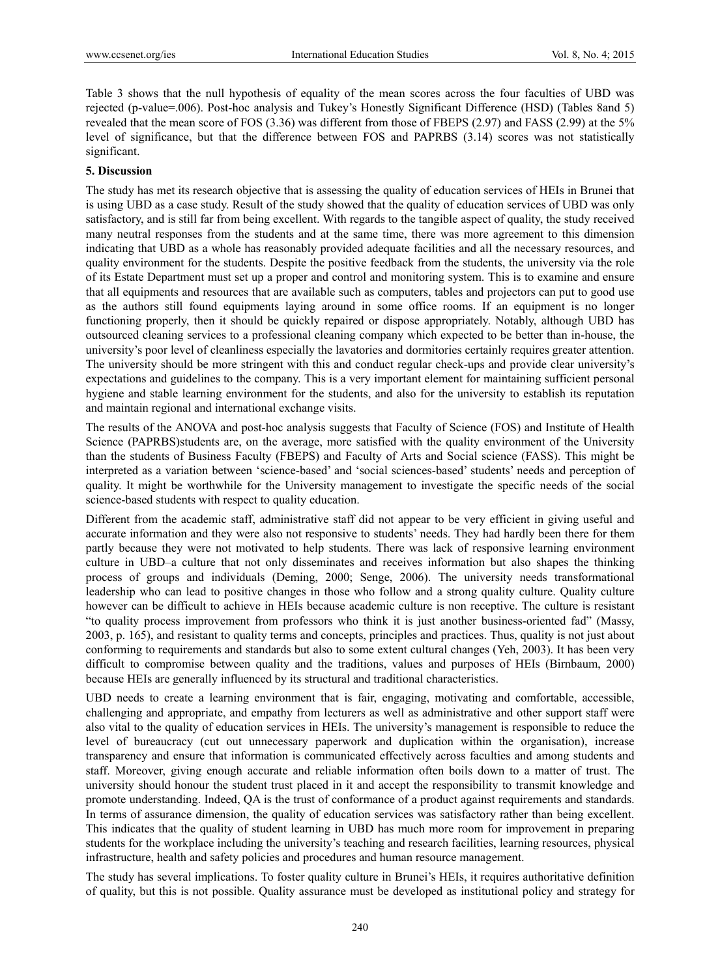Table 3 shows that the null hypothesis of equality of the mean scores across the four faculties of UBD was rejected (p-value=.006). Post-hoc analysis and Tukey's Honestly Significant Difference (HSD) (Tables 8and 5) revealed that the mean score of FOS (3.36) was different from those of FBEPS (2.97) and FASS (2.99) at the 5% level of significance, but that the difference between FOS and PAPRBS (3.14) scores was not statistically significant.

#### **5. Discussion**

The study has met its research objective that is assessing the quality of education services of HEIs in Brunei that is using UBD as a case study. Result of the study showed that the quality of education services of UBD was only satisfactory, and is still far from being excellent. With regards to the tangible aspect of quality, the study received many neutral responses from the students and at the same time, there was more agreement to this dimension indicating that UBD as a whole has reasonably provided adequate facilities and all the necessary resources, and quality environment for the students. Despite the positive feedback from the students, the university via the role of its Estate Department must set up a proper and control and monitoring system. This is to examine and ensure that all equipments and resources that are available such as computers, tables and projectors can put to good use as the authors still found equipments laying around in some office rooms. If an equipment is no longer functioning properly, then it should be quickly repaired or dispose appropriately. Notably, although UBD has outsourced cleaning services to a professional cleaning company which expected to be better than in-house, the university's poor level of cleanliness especially the lavatories and dormitories certainly requires greater attention. The university should be more stringent with this and conduct regular check-ups and provide clear university's expectations and guidelines to the company. This is a very important element for maintaining sufficient personal hygiene and stable learning environment for the students, and also for the university to establish its reputation and maintain regional and international exchange visits.

The results of the ANOVA and post-hoc analysis suggests that Faculty of Science (FOS) and Institute of Health Science (PAPRBS)students are, on the average, more satisfied with the quality environment of the University than the students of Business Faculty (FBEPS) and Faculty of Arts and Social science (FASS). This might be interpreted as a variation between 'science-based' and 'social sciences-based' students' needs and perception of quality. It might be worthwhile for the University management to investigate the specific needs of the social science-based students with respect to quality education.

Different from the academic staff, administrative staff did not appear to be very efficient in giving useful and accurate information and they were also not responsive to students' needs. They had hardly been there for them partly because they were not motivated to help students. There was lack of responsive learning environment culture in UBD–a culture that not only disseminates and receives information but also shapes the thinking process of groups and individuals (Deming, 2000; Senge, 2006). The university needs transformational leadership who can lead to positive changes in those who follow and a strong quality culture. Quality culture however can be difficult to achieve in HEIs because academic culture is non receptive. The culture is resistant "to quality process improvement from professors who think it is just another business-oriented fad" (Massy, 2003, p. 165), and resistant to quality terms and concepts, principles and practices. Thus, quality is not just about conforming to requirements and standards but also to some extent cultural changes (Yeh, 2003). It has been very difficult to compromise between quality and the traditions, values and purposes of HEIs (Birnbaum, 2000) because HEIs are generally influenced by its structural and traditional characteristics.

UBD needs to create a learning environment that is fair, engaging, motivating and comfortable, accessible, challenging and appropriate, and empathy from lecturers as well as administrative and other support staff were also vital to the quality of education services in HEIs. The university's management is responsible to reduce the level of bureaucracy (cut out unnecessary paperwork and duplication within the organisation), increase transparency and ensure that information is communicated effectively across faculties and among students and staff. Moreover, giving enough accurate and reliable information often boils down to a matter of trust. The university should honour the student trust placed in it and accept the responsibility to transmit knowledge and promote understanding. Indeed, QA is the trust of conformance of a product against requirements and standards. In terms of assurance dimension, the quality of education services was satisfactory rather than being excellent. This indicates that the quality of student learning in UBD has much more room for improvement in preparing students for the workplace including the university's teaching and research facilities, learning resources, physical infrastructure, health and safety policies and procedures and human resource management.

The study has several implications. To foster quality culture in Brunei's HEIs, it requires authoritative definition of quality, but this is not possible. Quality assurance must be developed as institutional policy and strategy for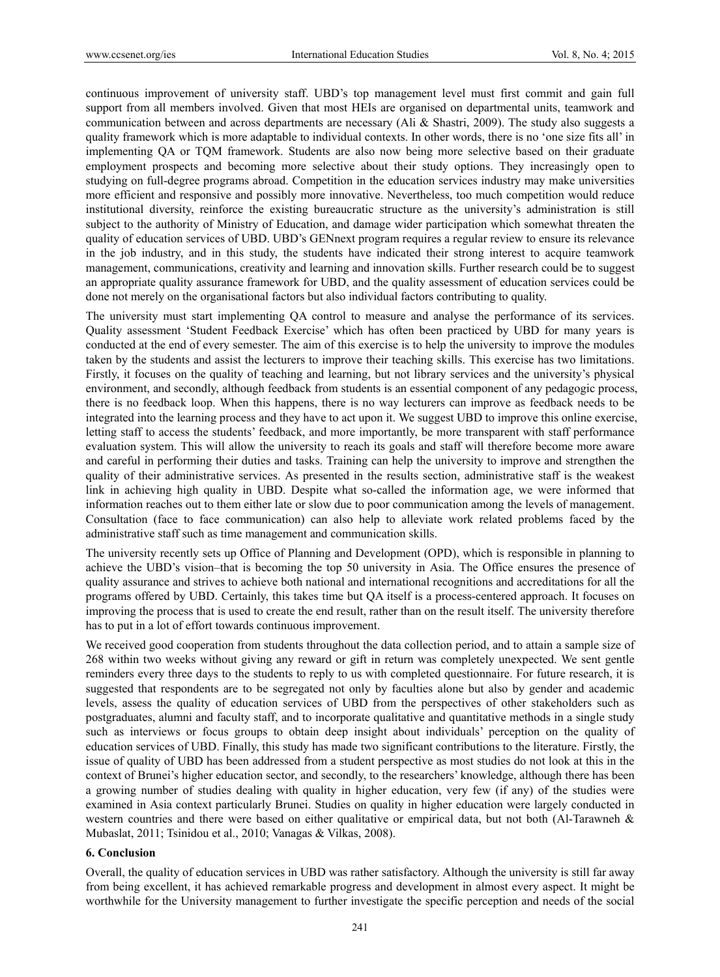continuous improvement of university staff. UBD's top management level must first commit and gain full support from all members involved. Given that most HEIs are organised on departmental units, teamwork and communication between and across departments are necessary (Ali & Shastri, 2009). The study also suggests a quality framework which is more adaptable to individual contexts. In other words, there is no 'one size fits all' in implementing QA or TQM framework. Students are also now being more selective based on their graduate employment prospects and becoming more selective about their study options. They increasingly open to studying on full-degree programs abroad. Competition in the education services industry may make universities more efficient and responsive and possibly more innovative. Nevertheless, too much competition would reduce institutional diversity, reinforce the existing bureaucratic structure as the university's administration is still subject to the authority of Ministry of Education, and damage wider participation which somewhat threaten the quality of education services of UBD. UBD's GENnext program requires a regular review to ensure its relevance in the job industry, and in this study, the students have indicated their strong interest to acquire teamwork management, communications, creativity and learning and innovation skills. Further research could be to suggest an appropriate quality assurance framework for UBD, and the quality assessment of education services could be done not merely on the organisational factors but also individual factors contributing to quality.

The university must start implementing QA control to measure and analyse the performance of its services. Quality assessment 'Student Feedback Exercise' which has often been practiced by UBD for many years is conducted at the end of every semester. The aim of this exercise is to help the university to improve the modules taken by the students and assist the lecturers to improve their teaching skills. This exercise has two limitations. Firstly, it focuses on the quality of teaching and learning, but not library services and the university's physical environment, and secondly, although feedback from students is an essential component of any pedagogic process, there is no feedback loop. When this happens, there is no way lecturers can improve as feedback needs to be integrated into the learning process and they have to act upon it. We suggest UBD to improve this online exercise, letting staff to access the students' feedback, and more importantly, be more transparent with staff performance evaluation system. This will allow the university to reach its goals and staff will therefore become more aware and careful in performing their duties and tasks. Training can help the university to improve and strengthen the quality of their administrative services. As presented in the results section, administrative staff is the weakest link in achieving high quality in UBD. Despite what so-called the information age, we were informed that information reaches out to them either late or slow due to poor communication among the levels of management. Consultation (face to face communication) can also help to alleviate work related problems faced by the administrative staff such as time management and communication skills.

The university recently sets up Office of Planning and Development (OPD), which is responsible in planning to achieve the UBD's vision–that is becoming the top 50 university in Asia. The Office ensures the presence of quality assurance and strives to achieve both national and international recognitions and accreditations for all the programs offered by UBD. Certainly, this takes time but QA itself is a process-centered approach. It focuses on improving the process that is used to create the end result, rather than on the result itself. The university therefore has to put in a lot of effort towards continuous improvement.

We received good cooperation from students throughout the data collection period, and to attain a sample size of 268 within two weeks without giving any reward or gift in return was completely unexpected. We sent gentle reminders every three days to the students to reply to us with completed questionnaire. For future research, it is suggested that respondents are to be segregated not only by faculties alone but also by gender and academic levels, assess the quality of education services of UBD from the perspectives of other stakeholders such as postgraduates, alumni and faculty staff, and to incorporate qualitative and quantitative methods in a single study such as interviews or focus groups to obtain deep insight about individuals' perception on the quality of education services of UBD. Finally, this study has made two significant contributions to the literature. Firstly, the issue of quality of UBD has been addressed from a student perspective as most studies do not look at this in the context of Brunei's higher education sector, and secondly, to the researchers' knowledge, although there has been a growing number of studies dealing with quality in higher education, very few (if any) of the studies were examined in Asia context particularly Brunei. Studies on quality in higher education were largely conducted in western countries and there were based on either qualitative or empirical data, but not both (Al-Tarawneh & Mubaslat, 2011; Tsinidou et al., 2010; Vanagas & Vilkas, 2008).

#### **6. Conclusion**

Overall, the quality of education services in UBD was rather satisfactory. Although the university is still far away from being excellent, it has achieved remarkable progress and development in almost every aspect. It might be worthwhile for the University management to further investigate the specific perception and needs of the social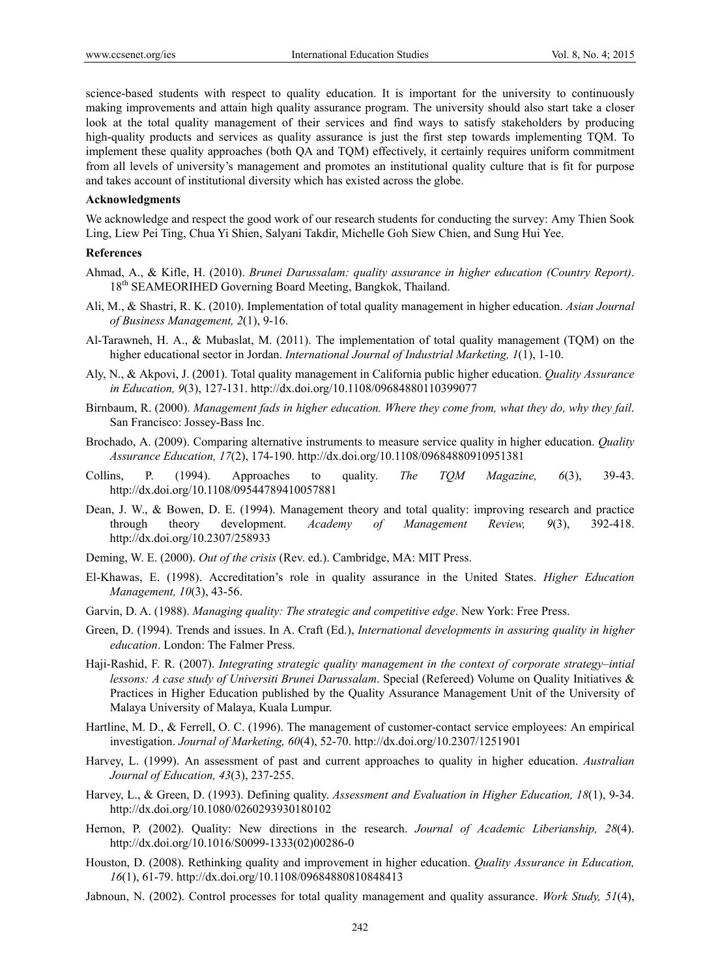science-based students with respect to quality education. It is important for the university to continuously making improvements and attain high quality assurance program. The university should also start take a closer look at the total quality management of their services and find ways to satisfy stakeholders by producing high-quality products and services as quality assurance is just the first step towards implementing TQM. To implement these quality approaches (both QA and TQM) effectively, it certainly requires uniform commitment from all levels of university's management and promotes an institutional quality culture that is fit for purpose and takes account of institutional diversity which has existed across the globe.

#### **Acknowledgments**

We acknowledge and respect the good work of our research students for conducting the survey: Amy Thien Sook Ling, Liew Pei Ting, Chua Yi Shien, Salyani Takdir, Michelle Goh Siew Chien, and Sung Hui Yee.

#### **References**

- Ahmad, A., & Kifle, H. (2010). *Brunei Darussalam: quality assurance in higher education (Country Report)*. 18<sup>th</sup> SEAMEORIHED Governing Board Meeting, Bangkok, Thailand.
- Ali, M., & Shastri, R. K. (2010). Implementation of total quality management in higher education. *Asian Journal of Business Management, 2*(1), 9-16.
- Al-Tarawneh, H. A., & Mubaslat, M. (2011). The implementation of total quality management (TQM) on the higher educational sector in Jordan. *International Journal of Industrial Marketing, 1*(1), 1-10.
- Aly, N., & Akpovi, J. (2001). Total quality management in California public higher education. *Quality Assurance in Education, 9*(3), 127-131. http://dx.doi.org/10.1108/09684880110399077
- Birnbaum, R. (2000). *Management fads in higher education. Where they come from, what they do, why they fail*. San Francisco: Jossey-Bass Inc.
- Brochado, A. (2009). Comparing alternative instruments to measure service quality in higher education. *Quality Assurance Education, 17*(2), 174-190. http://dx.doi.org/10.1108/09684880910951381
- Collins, P. (1994). Approaches to quality. *The TQM Magazine, 6*(3), 39-43. http://dx.doi.org/10.1108/09544789410057881
- Dean, J. W., & Bowen, D. E. (1994). Management theory and total quality: improving research and practice through theory development. *Academy of Management Review, 9*(3), 392-418. http://dx.doi.org/10.2307/258933
- Deming, W. E. (2000). *Out of the crisis* (Rev. ed.). Cambridge, MA: MIT Press.
- El-Khawas, E. (1998). Accreditation's role in quality assurance in the United States. *Higher Education Management, 10*(3), 43-56.
- Garvin, D. A. (1988). *Managing quality: The strategic and competitive edge*. New York: Free Press.
- Green, D. (1994). Trends and issues. In A. Craft (Ed.), *International developments in assuring quality in higher education*. London: The Falmer Press.
- Haji-Rashid, F. R. (2007). *Integrating strategic quality management in the context of corporate strategy–intial lessons: A case study of Universiti Brunei Darussalam*. Special (Refereed) Volume on Quality Initiatives & Practices in Higher Education published by the Quality Assurance Management Unit of the University of Malaya University of Malaya, Kuala Lumpur.
- Hartline, M. D., & Ferrell, O. C. (1996). The management of customer-contact service employees: An empirical investigation. *Journal of Marketing, 60*(4), 52-70. http://dx.doi.org/10.2307/1251901
- Harvey, L. (1999). An assessment of past and current approaches to quality in higher education. *Australian Journal of Education, 43*(3), 237-255.
- Harvey, L., & Green, D. (1993). Defining quality. *Assessment and Evaluation in Higher Education, 18*(1), 9-34. http://dx.doi.org/10.1080/0260293930180102
- Hernon, P. (2002). Quality: New directions in the research. *Journal of Academic Liberianship, 28*(4). http://dx.doi.org/10.1016/S0099-1333(02)00286-0
- Houston, D. (2008). Rethinking quality and improvement in higher education. *Quality Assurance in Education, 16*(1), 61-79. http://dx.doi.org/10.1108/09684880810848413
- Jabnoun, N. (2002). Control processes for total quality management and quality assurance. *Work Study, 51*(4),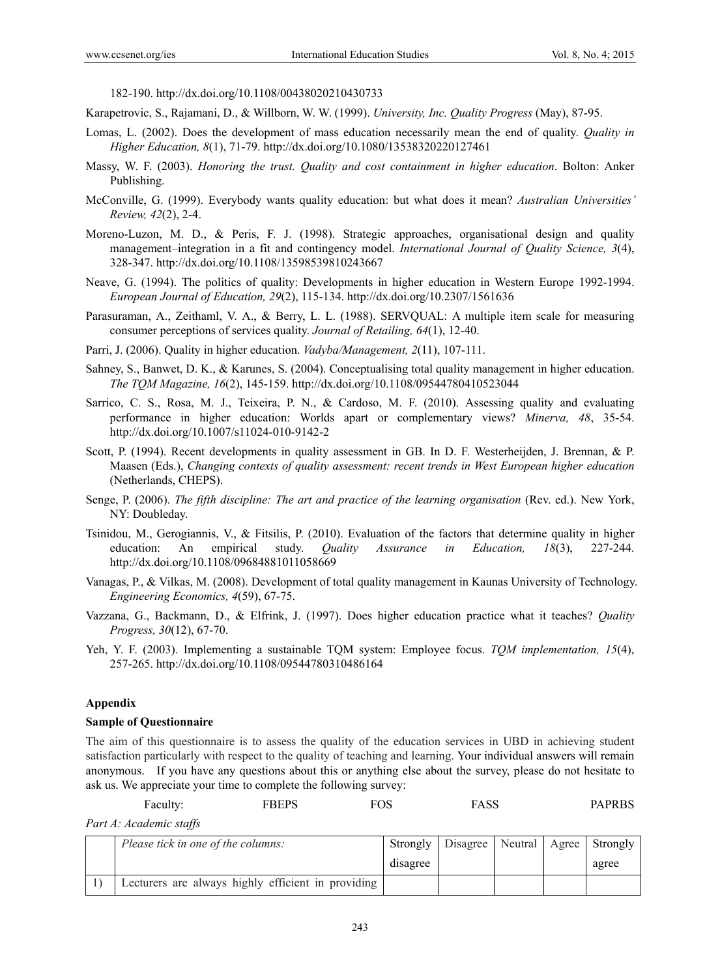182-190. http://dx.doi.org/10.1108/00438020210430733

- Karapetrovic, S., Rajamani, D., & Willborn, W. W. (1999). *University, Inc. Quality Progress* (May), 87-95.
- Lomas, L. (2002). Does the development of mass education necessarily mean the end of quality. *Quality in Higher Education, 8*(1), 71-79. http://dx.doi.org/10.1080/13538320220127461
- Massy, W. F. (2003). *Honoring the trust. Quality and cost containment in higher education*. Bolton: Anker Publishing.
- McConville, G. (1999). Everybody wants quality education: but what does it mean? *Australian Universities' Review, 42*(2), 2-4.
- Moreno-Luzon, M. D., & Peris, F. J. (1998). Strategic approaches, organisational design and quality management–integration in a fit and contingency model. *International Journal of Quality Science, 3*(4), 328-347. http://dx.doi.org/10.1108/13598539810243667
- Neave, G. (1994). The politics of quality: Developments in higher education in Western Europe 1992-1994. *European Journal of Education, 29*(2), 115-134. http://dx.doi.org/10.2307/1561636
- Parasuraman, A., Zeithaml, V. A., & Berry, L. L. (1988). SERVQUAL: A multiple item scale for measuring consumer perceptions of services quality. *Journal of Retailing, 64*(1), 12-40.
- Parri, J. (2006). Quality in higher education. *Vadyba/Management, 2*(11), 107-111.
- Sahney, S., Banwet, D. K., & Karunes, S. (2004). Conceptualising total quality management in higher education. *The TQM Magazine, 16*(2), 145-159. http://dx.doi.org/10.1108/09544780410523044
- Sarrico, C. S., Rosa, M. J., Teixeira, P. N., & Cardoso, M. F. (2010). Assessing quality and evaluating performance in higher education: Worlds apart or complementary views? *Minerva, 48*, 35-54. http://dx.doi.org/10.1007/s11024-010-9142-2
- Scott, P. (1994). Recent developments in quality assessment in GB. In D. F. Westerheijden, J. Brennan, & P. Maasen (Eds.), *Changing contexts of quality assessment: recent trends in West European higher education* (Netherlands, CHEPS).
- Senge, P. (2006). *The fifth discipline: The art and practice of the learning organisation* (Rev. ed.). New York, NY: Doubleday.
- Tsinidou, M., Gerogiannis, V., & Fitsilis, P. (2010). Evaluation of the factors that determine quality in higher education: An empirical study. *Quality Assurance in Education, 18*(3), 227-244. http://dx.doi.org/10.1108/09684881011058669
- Vanagas, P., & Vilkas, M. (2008). Development of total quality management in Kaunas University of Technology. *Engineering Economics, 4*(59), 67-75.
- Vazzana, G., Backmann, D., & Elfrink, J. (1997). Does higher education practice what it teaches? *Quality Progress, 30*(12), 67-70.
- Yeh, Y. F. (2003). Implementing a sustainable TQM system: Employee focus. *TQM implementation, 15*(4), 257-265. http://dx.doi.org/10.1108/09544780310486164

#### **Appendix**

#### **Sample of Questionnaire**

The aim of this questionnaire is to assess the quality of the education services in UBD in achieving student satisfaction particularly with respect to the quality of teaching and learning. Your individual answers will remain anonymous. If you have any questions about this or anything else about the survey, please do not hesitate to ask us. We appreciate your time to complete the following survey:

| Faculty: | FBEPS | FOS | FASS | <b>PAPRBS</b> |
|----------|-------|-----|------|---------------|
|          |       |     |      |               |

*Part A: Academic staffs* 

| Please tick in one of the columns:                 | Strongly | Disagree   Neutral   Agree   Strongly |  |       |
|----------------------------------------------------|----------|---------------------------------------|--|-------|
|                                                    | disagree |                                       |  | agree |
| Lecturers are always highly efficient in providing |          |                                       |  |       |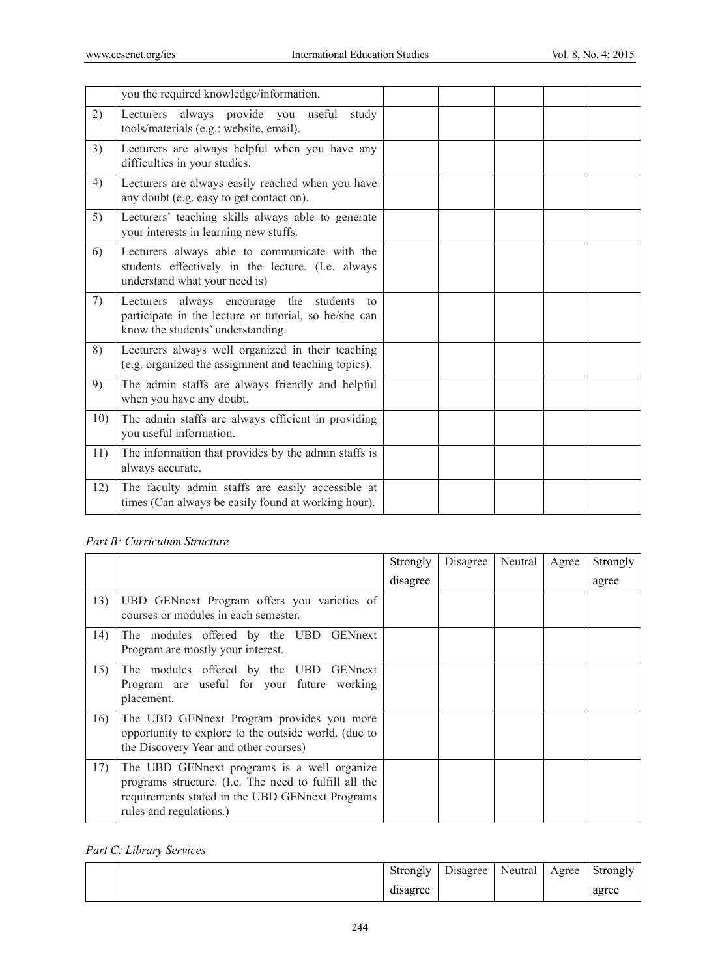|     | you the required knowledge/information.                                                                                                     |  |  |  |
|-----|---------------------------------------------------------------------------------------------------------------------------------------------|--|--|--|
| 2)  | Lecturers always provide you useful<br>study<br>tools/materials (e.g.: website, email).                                                     |  |  |  |
| 3)  | Lecturers are always helpful when you have any<br>difficulties in your studies.                                                             |  |  |  |
| 4)  | Lecturers are always easily reached when you have<br>any doubt (e.g. easy to get contact on).                                               |  |  |  |
| 5)  | Lecturers' teaching skills always able to generate<br>your interests in learning new stuffs.                                                |  |  |  |
| 6)  | Lecturers always able to communicate with the<br>students effectively in the lecture. (I.e. always<br>understand what your need is)         |  |  |  |
| 7)  | Lecturers always encourage the students<br>to<br>participate in the lecture or tutorial, so he/she can<br>know the students' understanding. |  |  |  |
| 8)  | Lecturers always well organized in their teaching<br>(e.g. organized the assignment and teaching topics).                                   |  |  |  |
| 9)  | The admin staffs are always friendly and helpful<br>when you have any doubt.                                                                |  |  |  |
| 10) | The admin staffs are always efficient in providing<br>you useful information.                                                               |  |  |  |
| 11) | The information that provides by the admin staffs is<br>always accurate.                                                                    |  |  |  |
| 12) | The faculty admin staffs are easily accessible at<br>times (Can always be easily found at working hour).                                    |  |  |  |

# *Part B: Curriculum Structure*

|     |                                                                                                                                                                                    | Strongly | Disagree | Neutral | Agree | Strongly |
|-----|------------------------------------------------------------------------------------------------------------------------------------------------------------------------------------|----------|----------|---------|-------|----------|
|     |                                                                                                                                                                                    | disagree |          |         |       | agree    |
| 13) | UBD GENnext Program offers you varieties of<br>courses or modules in each semester.                                                                                                |          |          |         |       |          |
| 14) | The modules offered by the UBD GENnext<br>Program are mostly your interest.                                                                                                        |          |          |         |       |          |
| 15) | The modules offered by the UBD GENnext<br>Program are useful for your future working<br>placement.                                                                                 |          |          |         |       |          |
| 16) | The UBD GENnext Program provides you more<br>opportunity to explore to the outside world. (due to<br>the Discovery Year and other courses)                                         |          |          |         |       |          |
| 17) | The UBD GENnext programs is a well organize<br>programs structure. (I.e. The need to fulfill all the<br>requirements stated in the UBD GENnext Programs<br>rules and regulations.) |          |          |         |       |          |

# *Part C: Library Services*

|  | Strongly | $\mathbf{r}$ .<br>Disagree | Neutral | Agree | Strongly |
|--|----------|----------------------------|---------|-------|----------|
|  | disagree |                            |         |       | agree    |